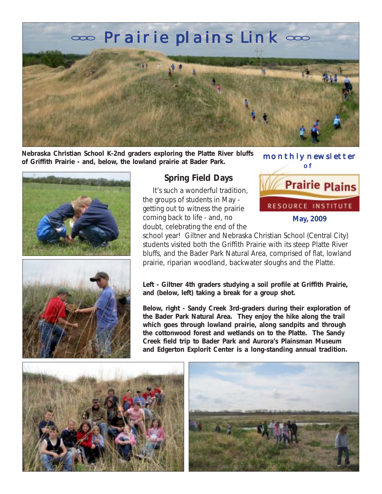

**Nebraska Christian School K-2nd graders exploring the Platte River bluffs of Griffith Prairie - and, below, the lowland prairie at Bader Park.**

 monthly newsletter of **Prairie Plains** RESOURCE INSTITUTE

**May, 2009**





# **Spring Field Days**

 It's such a wonderful tradition, the groups of students in May getting out to witness the prairie coming back to life - and, no doubt, celebrating the end of the

school year! Giltner and Nebraska Christian School (Central City) students visited both the Griffith Prairie with its steep Platte River bluffs, and the Bader Park Natural Area, comprised of flat, lowland prairie, riparian woodland, backwater sloughs and the Platte.

**Left - Giltner 4th graders studying a soil profile at Griffith Prairie, and (below, left) taking a break for a group shot.**

**Below, right - Sandy Creek 3rd-graders during their exploration of the Bader Park Natural Area. They enjoy the hike along the trail which goes through lowland prairie, along sandpits and through the cottonwood forest and wetlands on to the Platte. The Sandy Creek field trip to Bader Park and Aurora's Plainsman Museum and Edgerton Explorit Center is a long-standing annual tradition.**